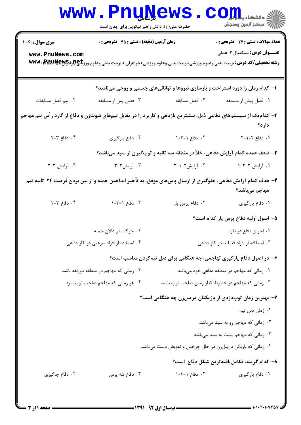|                                                                                                                 | <b>WWW.FUÜTAGMP</b><br>حضرت علی(ع): دانش راهبر نیکویی برای ایمان است |                                                                                                                                     | COLL,<br>رُ⁄ مرڪز آزمون وسنڊش               |
|-----------------------------------------------------------------------------------------------------------------|----------------------------------------------------------------------|-------------------------------------------------------------------------------------------------------------------------------------|---------------------------------------------|
| <b>سری سوال :</b> یک ۱                                                                                          | زمان آزمون (دقیقه) : تستی : 45 آتشریحی : 0                           | <b>تعداد سوالات : تستی : 24 گشریحی : 0</b>                                                                                          |                                             |
| www.PnuNews.com                                                                                                 |                                                                      | <b>رشته تحصیلی/کد درس:</b> تربیت بدنی وعلوم ورزشی،تربیت بدنی وعلوم ورزشی (خواهران )،تربیت بدنی وعلوم ورز <b>تلچ(لږادکېRRU)، www</b> | <b>عنــــوان درس:</b> بسکتبال ۲-عملی        |
|                                                                                                                 |                                                                      | ۱- کدام زمان را دوره استراحت و بازسازی نیروها و توانائیهای جسمی و روحی مینامند؟                                                     |                                             |
| ۰۴ نیم فصل مسابقات                                                                                              | ۰۳ فصل پس از مسابقه                                                  | ٠٢ فصل مسابقه                                                                                                                       | ٠١ فصل پيش از مسابقه                        |
| ۲- کدام یک از سیستمهای دفاعی ذیل، بیشترین بازدهی و کاربرد را در مقابل تیمهای شوتزن و دفاع از گارد رأس تیم مهاجم |                                                                      |                                                                                                                                     | دارد؟                                       |
| ۰۴ دفاع ۲-۲                                                                                                     | ۰۳ دفاع يارگيري                                                      | ٠٢ دفاع ١-٣-١                                                                                                                       | 1. دفاع ٢-١-٢                               |
|                                                                                                                 |                                                                      | ۳- ضعف عمده کدام آرایش دفاعی، خلأ در منطقه سه ثانیه و توپگیری از سبد میباشد؟                                                        |                                             |
| ۰۴ آرايش ۲-۲                                                                                                    | ۰۳ آرایش۲-۳                                                          | ۰۲ آرایش۲-۱-۲                                                                                                                       | ۰۱ آرایش ۲-۲-۱                              |
|                                                                                                                 |                                                                      | ۴- هدف کدام آرایش دفاعی، جلوگیری از ارسال پاسهای موفق، به تأخیر انداختن حمله و از بین بردن فرصت ۲۴ ثانیه تیم                        | مهاجم مىباشد؟                               |
| $Y - Y$ دفاع $Y - Y$                                                                                            | ۰۳ دفاع ۱-۳-۱                                                        | ٠٢ دفاع پرس يار                                                                                                                     | ۰۱ دفاع يارگيري                             |
|                                                                                                                 |                                                                      |                                                                                                                                     | ۵– اصول اولیه دفاع پرس یار کدام است؟        |
|                                                                                                                 | ۰۲ حرکت در دالان حمله                                                |                                                                                                                                     | ۰۱ اجرای دفاع دو نفره                       |
|                                                                                                                 | ۰۴ استفاده از افراد سرعتی در کار دفاعی                               |                                                                                                                                     | ۰۳ استفاده از افراد قدبلند در کار دفاعی     |
|                                                                                                                 |                                                                      | ۶- در اصول دفاع یارگیری تهاجمی، چه هنگامی برای دبل تیمکردن مناسب است؟                                                               |                                             |
|                                                                                                                 | ۰۲ زمانی که مهاجم در منطقه ذوزنقه باشد                               |                                                                                                                                     | ۰۱ زمانی که مهاجم در منطقه دفاعی خود میباشد |
|                                                                                                                 | ۰۴ هر زمانی که مهاجم صاحب توپ شود                                    | ۰۳ زمانی که مهاجم در خطوط کنار زمین صاحب توپ باشد                                                                                   |                                             |
|                                                                                                                 |                                                                      | ۷– بهترین زمان توپدزدی از بازیکنان دریبلزن چه هنگامی است؟                                                                           |                                             |
|                                                                                                                 |                                                                      |                                                                                                                                     | ۰۱ زمان دبل تیم                             |
|                                                                                                                 |                                                                      |                                                                                                                                     | ۰۲ زمانی که مهاجم رو به سبد میباشد          |
|                                                                                                                 |                                                                      |                                                                                                                                     | ۰۳ زمانی که مهاجم پشت به سبد میباشد         |
|                                                                                                                 |                                                                      | ۰۴ زمانی که بازیکن دریبلزن در حال چرخش و تعویض دست میباشد                                                                           |                                             |
|                                                                                                                 |                                                                      |                                                                                                                                     | ۸– کدام گزینه، تکاملیافتهترین شکل دفاع است؟ |
| ۰۴ دفاع جاگیری                                                                                                  | ۰۳ دفاع تله پرس                                                      | ۰۲ دفاع ۱-۳-۱                                                                                                                       | ۰۱ دفاع پارگیری                             |
|                                                                                                                 |                                                                      |                                                                                                                                     |                                             |

**= نیمسال اول 92-1391 <del>=</del>** 

1۰۱۰/۱۰۱۰۷۴۵

صفحه 1 از 3 =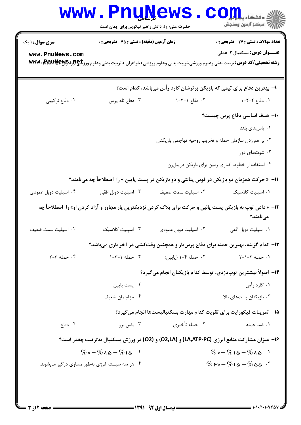| <b>سری سوال : ۱ یک</b>                             | <b>زمان آزمون (دقیقه) : تستی : 45 گشریحی : 0</b> |                                                                                                                                        | <b>تعداد سوالات : تستی : 24 - تشریحی : .</b>      |
|----------------------------------------------------|--------------------------------------------------|----------------------------------------------------------------------------------------------------------------------------------------|---------------------------------------------------|
| www.PnuNews.com                                    |                                                  | <b>رشته تحصیلی/کد درس:</b> تربیت بدنی وعلوم ورزشی،تربیت بدنی وعلوم ورزشی (خواهران )،تربیت بدنی وعلوم ورز <b>تلچ(براچPraudJew)، www</b> | <b>عنـــوان درس:</b> بسکتبال ۲-عملی               |
|                                                    |                                                  | ۹- بهترین دفاع برای تیمی که بازیکن برترشان گارد رأس میباشد، کدام است؟                                                                  |                                                   |
| ۰۴ دفاع ترکیبی                                     | ۰۳ دفاع تله پرس                                  | ۰۲ دفاع ۱-۳-۱                                                                                                                          | 1. دفاع ۲-۲-۱                                     |
|                                                    |                                                  |                                                                                                                                        | ۱۰– هدف اساسی دفاع پرس چیست؟                      |
|                                                    |                                                  |                                                                                                                                        | ٠١. پاس های بلند                                  |
|                                                    |                                                  | ۰۲ بر هم زدن سازمان حمله و تخریب روحیه تهاجمی بازیکنان                                                                                 |                                                   |
|                                                    |                                                  |                                                                                                                                        | ۰۳ شوتهای دور                                     |
|                                                    |                                                  |                                                                                                                                        | ۰۴ استفاده از خطوط کناری زمین برای بازیکن دریبلزن |
|                                                    |                                                  | ۱۱−  « حرکت همزمان دو بازیکن در قوس پنالتی و دو بازیکن در پست پایین » را  اصطلاحاً چه میiامند؟                                         |                                                   |
| ۰۴ اسپلیت دوبل عمودی                               | ۰۳ اسپلیت دوبل افقی                              | ٠٢ اسپليت سمت ضعيف                                                                                                                     | ٠١. اسپلیت کلاسیک                                 |
|                                                    |                                                  | ۱۲-  « دادن توپ به بازیکن پست پائین و حرکت برای بلاک کردن نزدیکترین یار مجاور و آزاد کردن او» را  اصطلاحاً چه                          | مىنامند؟                                          |
| ۰۴ اسپلیت سمت ضعیف                                 | ٠٣ اسپلیت کلاسیک                                 | ۰۲ اسپلیت دوبل عمودی                                                                                                                   | ٠١. اسپليت دوبل افقي                              |
|                                                    |                                                  | ۱۳- کدام گزینه، بهترین حمله برای دفاع پرس بار و همچنین وقتکشی در آخر بازی میباشد؟                                                      |                                                   |
| $Y-T$ حمله $Y-T$                                   | $1 - \mathcal{V} - 1$ also $\cdot \mathcal{V}$   | ۰۲ حمله ۴-۱ (پایین)                                                                                                                    | ١. حمله ٢-١-٢                                     |
|                                                    |                                                  | ۱۴– اصولاً بیشترین توپدزدی، توسط کدام بازیکنان انجام می <b>گیرد؟</b>                                                                   |                                                   |
|                                                    | ۰۲ پست پایین                                     |                                                                                                                                        | ۱. گارد رأس                                       |
|                                                    | ۰۴ مهاجمان ضعیف                                  |                                                                                                                                        | ۰۳ بازیکنان پستهای بالا                           |
|                                                    |                                                  | 15- تمرينات فيگورايت براي تقويت كدام مهارت بسكتباليستها انجام مي5يرد؟                                                                  |                                                   |
| ۰۴ دفاع                                            | ۰۳ پاس برو                                       | ٢. حمله تأخيري                                                                                                                         | ۰۱ ضد حمله                                        |
|                                                    |                                                  | ۱۶- میزان مشارکت منابع انرژی (LA,ATP-PC) و (O2,LA) و (O2) در ورزش بسکتبال بهترتیب چقدر است؟                                            |                                                   |
| $\%$ o - $\%$ $\wedge$ $\omega$ - $\%$ $\sim$ $\%$ |                                                  | $\%$ o - $\%$ 1 a - $\%$ A a ·                                                                                                         |                                                   |
|                                                    | ۰۴ هر سه سیستم انرژی بهطور مساوی در گیر می شوند. | $\%$ $\mu$ <sub>°</sub> - $\%$ 1 $\Delta$ - $\%$ $\Delta \Delta$ $\%$                                                                  |                                                   |

 $1.1.1.1.1.1.06$